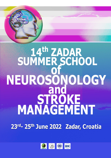

## 14th ZADAR<br>SUMMER SCHOOL **NEUROSONOLOGY<br>
And<br>
STROKE<br>
MANAGEMENT**

23rd- 25th June 2022 Zadar, Croatia

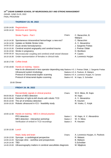## **14TH ZADAR SUMMER SCHOOL OF NEUROSONOLOGY AND STROKE MANAGEMENT**

ZADAR, JUNE 23-25, 2022 FINAL PROGRAM

## **THURSDAY 23. 06. 2022**

|                                           | 12:00-14:00 Registrations<br>14:00-14:10 Welcome and Opening                                                                                                                                                                                                            |                        |                                                                                                                            |
|-------------------------------------------|-------------------------------------------------------------------------------------------------------------------------------------------------------------------------------------------------------------------------------------------------------------------------|------------------------|----------------------------------------------------------------------------------------------------------------------------|
|                                           | <b>Stroke Topics - Part I</b>                                                                                                                                                                                                                                           | Chairs:                | C. Baracchini, B.<br>Malojcic                                                                                              |
| 14:10-14:30                               | Spontaneous intracerebral hemorrhage: a new era?                                                                                                                                                                                                                        |                        | C. Baracchini                                                                                                              |
| 14:30-14:50                               | Update on Mobile Stroke Units                                                                                                                                                                                                                                           |                        | A. V. Alexandrov                                                                                                           |
|                                           | 14:50-15:10 Acute stroke hemodynamics                                                                                                                                                                                                                                   |                        | J. Sargento Freitas                                                                                                        |
|                                           | 15:10-15:30 Cerebral amyloid angiopathy and cerebral trauma                                                                                                                                                                                                             |                        | J. Pretnar Oblak                                                                                                           |
| 15:30-15:50                               | Stroke in pregnancy                                                                                                                                                                                                                                                     |                        | D. Bonifacic                                                                                                               |
| 15:50-16:10                               | Neurovascular coupling and cerebral small vessel disease                                                                                                                                                                                                                |                        | P. Castro                                                                                                                  |
| 16:10-16:30                               | Under-representation of females in clinical trials                                                                                                                                                                                                                      |                        | A. Lovrencic Huzjan                                                                                                        |
|                                           | 16:30-17:00 Coffee break                                                                                                                                                                                                                                                |                        |                                                                                                                            |
|                                           | 17:00-19:00 Hands-on training - basics<br>How to do ultrasound in less operator depending way Stations 4-5 J. Pretnar Oblak, J. Sargento Freitas<br>Ultrasound system knobology<br>Protocol of extracranial duplex scanning<br>Protocol of intracranial duplex scanning |                        | Stations 4-5 A. Pavlovic, B. Malojcic<br>Stations 4-5 A. Lovrencic Huzjan, N. Carraro<br>Statins 4-5 M. Kaps, S. Schreiber |
|                                           | 20:00 Dinner                                                                                                                                                                                                                                                            |                        |                                                                                                                            |
|                                           | <b>FRIDAY 24.06.2022</b>                                                                                                                                                                                                                                                |                        |                                                                                                                            |
| 09:00-09:20<br>09:20-09:40<br>09:40-10:00 | Microembolic signals in clinical practice<br>Future of MES detection<br>Detection of right-to-left shunts with robotic TCD<br>The art of embolus detection<br>10:00-10:20 Robotic ultrasound in ICU - feasibility study                                                 | Chairs:                | W.H. Mess, M. Kaps<br>M. Kaps<br>A. V. Alexandrov<br>R. Keunen<br>M. Vosko, C. Kulyk                                       |
|                                           | 10:00-12:30 Hands-on training - MES in clinical practice<br>PFO detection<br>MES detection - interactive workshop                                                                                                                                                       | Station 1<br>Station 2 | M. Kaps, A. V. Alexandrov<br>W. H. Mess                                                                                    |

12:30-13:30 Lunch

|             | Heart, body and brain                                                  | Chairs: | A. Lovrencic-Huzjan, A. Pavlovic |
|-------------|------------------------------------------------------------------------|---------|----------------------------------|
|             | 13:30-13:50 Syncope - a cardiological perspective                      |         | R. Matasic                       |
|             | 14:00-14:20 Syncope clinic - workflow and prespectives                 |         | <b>B.</b> Malojcic               |
| 14:20-14:40 | TBD.                                                                   |         | S.Schreiber                      |
|             | 14:40-15:00 Ultrasonography matters in cerebral vasculitides diagnosis |         | M. Mijajlovic                    |

Verification of emboli in TCD recordings Station 3 R. Keunen